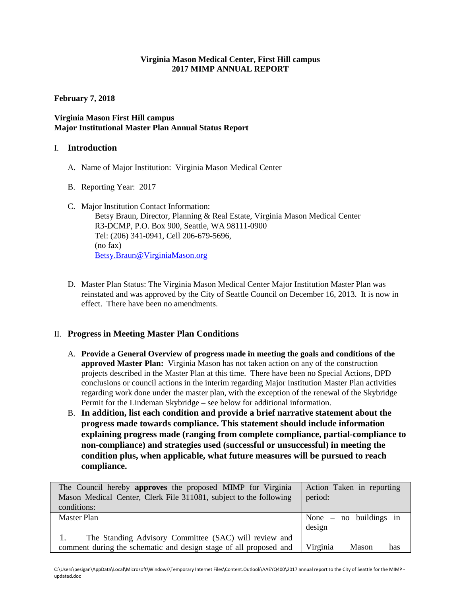### **Virginia Mason Medical Center, First Hill campus 2017 MIMP ANNUAL REPORT**

**February 7, 2018**

## **Virginia Mason First Hill campus Major Institutional Master Plan Annual Status Report**

### I. **Introduction**

- A. Name of Major Institution: Virginia Mason Medical Center
- B. Reporting Year: 2017
- C. Major Institution Contact Information: Betsy Braun, Director, Planning & Real Estate, Virginia Mason Medical Center R3-DCMP, P.O. Box 900, Seattle, WA 98111-0900 Tel: (206) 341-0941, Cell 206-679-5696, (no fax) [Betsy.Braun@VirginiaMason.org](mailto:Betsy.Braun@VirginiaMason.org)
- D. Master Plan Status: The Virginia Mason Medical Center Major Institution Master Plan was reinstated and was approved by the City of Seattle Council on December 16, 2013. It is now in effect. There have been no amendments.

## II. **Progress in Meeting Master Plan Conditions**

- A. **Provide a General Overview of progress made in meeting the goals and conditions of the approved Master Plan:** Virginia Mason has not taken action on any of the construction projects described in the Master Plan at this time. There have been no Special Actions, DPD conclusions or council actions in the interim regarding Major Institution Master Plan activities regarding work done under the master plan, with the exception of the renewal of the Skybridge Permit for the Lindeman Skybridge – see below for additional information.
- B. **In addition, list each condition and provide a brief narrative statement about the progress made towards compliance. This statement should include information explaining progress made (ranging from complete compliance, partial-compliance to non-compliance) and strategies used (successful or unsuccessful) in meeting the condition plus, when applicable, what future measures will be pursued to reach compliance.**

| The Council hereby approves the proposed MIMP for Virginia        | Action Taken in reporting |
|-------------------------------------------------------------------|---------------------------|
| Mason Medical Center, Clerk File 311081, subject to the following | period:                   |
| conditions:                                                       |                           |
| Master Plan                                                       | None $-$ no buildings in  |
|                                                                   | design                    |
| The Standing Advisory Committee (SAC) will review and             |                           |
| comment during the schematic and design stage of all proposed and | Virginia<br>Mason<br>has  |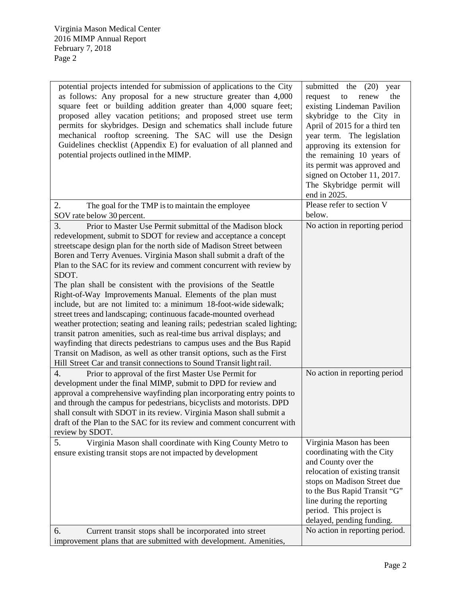| potential projects intended for submission of applications to the City<br>as follows: Any proposal for a new structure greater than 4,000<br>square feet or building addition greater than 4,000 square feet;<br>proposed alley vacation petitions; and proposed street use term<br>permits for skybridges. Design and schematics shall include future<br>mechanical rooftop screening. The SAC will use the Design<br>Guidelines checklist (Appendix E) for evaluation of all planned and<br>potential projects outlined in the MIMP.                                                                                                                                                                                                                                                                                                                                                                                                                                                                                            | submitted the $(20)$<br>year<br>request<br>the<br>to<br>renew<br>existing Lindeman Pavilion<br>skybridge to the City in<br>April of 2015 for a third ten<br>year term. The legislation<br>approving its extension for<br>the remaining 10 years of<br>its permit was approved and<br>signed on October 11, 2017.<br>The Skybridge permit will<br>end in 2025. |
|-----------------------------------------------------------------------------------------------------------------------------------------------------------------------------------------------------------------------------------------------------------------------------------------------------------------------------------------------------------------------------------------------------------------------------------------------------------------------------------------------------------------------------------------------------------------------------------------------------------------------------------------------------------------------------------------------------------------------------------------------------------------------------------------------------------------------------------------------------------------------------------------------------------------------------------------------------------------------------------------------------------------------------------|---------------------------------------------------------------------------------------------------------------------------------------------------------------------------------------------------------------------------------------------------------------------------------------------------------------------------------------------------------------|
| 2.<br>The goal for the TMP is to maintain the employee<br>SOV rate below 30 percent.                                                                                                                                                                                                                                                                                                                                                                                                                                                                                                                                                                                                                                                                                                                                                                                                                                                                                                                                              | Please refer to section V<br>below.                                                                                                                                                                                                                                                                                                                           |
| 3.<br>Prior to Master Use Permit submittal of the Madison block<br>redevelopment, submit to SDOT for review and acceptance a concept<br>streetscape design plan for the north side of Madison Street between<br>Boren and Terry Avenues. Virginia Mason shall submit a draft of the<br>Plan to the SAC for its review and comment concurrent with review by<br>SDOT.<br>The plan shall be consistent with the provisions of the Seattle<br>Right-of-Way Improvements Manual. Elements of the plan must<br>include, but are not limited to: a minimum 18-foot-wide sidewalk;<br>street trees and landscaping; continuous facade-mounted overhead<br>weather protection; seating and leaning rails; pedestrian scaled lighting;<br>transit patron amenities, such as real-time bus arrival displays; and<br>wayfinding that directs pedestrians to campus uses and the Bus Rapid<br>Transit on Madison, as well as other transit options, such as the First<br>Hill Street Car and transit connections to Sound Transit light rail. | No action in reporting period                                                                                                                                                                                                                                                                                                                                 |
| $\overline{4}$ .<br>Prior to approval of the first Master Use Permit for<br>development under the final MIMP, submit to DPD for review and<br>approval a comprehensive wayfinding plan incorporating entry points to<br>and through the campus for pedestrians, bicyclists and motorists. DPD<br>shall consult with SDOT in its review. Virginia Mason shall submit a<br>draft of the Plan to the SAC for its review and comment concurrent with<br>review by SDOT.                                                                                                                                                                                                                                                                                                                                                                                                                                                                                                                                                               | No action in reporting period                                                                                                                                                                                                                                                                                                                                 |
| 5.<br>Virginia Mason shall coordinate with King County Metro to<br>ensure existing transit stops are not impacted by development<br>6.                                                                                                                                                                                                                                                                                                                                                                                                                                                                                                                                                                                                                                                                                                                                                                                                                                                                                            | Virginia Mason has been<br>coordinating with the City<br>and County over the<br>relocation of existing transit<br>stops on Madison Street due<br>to the Bus Rapid Transit "G"<br>line during the reporting<br>period. This project is<br>delayed, pending funding.<br>No action in reporting period.                                                          |
| Current transit stops shall be incorporated into street<br>improvement plans that are submitted with development. Amenities,                                                                                                                                                                                                                                                                                                                                                                                                                                                                                                                                                                                                                                                                                                                                                                                                                                                                                                      |                                                                                                                                                                                                                                                                                                                                                               |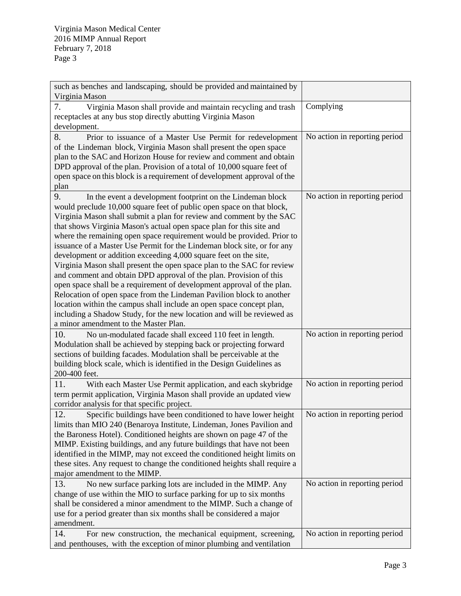| such as benches and landscaping, should be provided and maintained by<br>Virginia Mason                                                                                                                                                                                                                                                                                                                                                                                                                                                                                                                                                                                                                                                                                                                                                                                                                                                                                                                         |                               |
|-----------------------------------------------------------------------------------------------------------------------------------------------------------------------------------------------------------------------------------------------------------------------------------------------------------------------------------------------------------------------------------------------------------------------------------------------------------------------------------------------------------------------------------------------------------------------------------------------------------------------------------------------------------------------------------------------------------------------------------------------------------------------------------------------------------------------------------------------------------------------------------------------------------------------------------------------------------------------------------------------------------------|-------------------------------|
| Virginia Mason shall provide and maintain recycling and trash<br>7.<br>receptacles at any bus stop directly abutting Virginia Mason<br>development.                                                                                                                                                                                                                                                                                                                                                                                                                                                                                                                                                                                                                                                                                                                                                                                                                                                             | Complying                     |
| 8.<br>Prior to issuance of a Master Use Permit for redevelopment<br>of the Lindeman block, Virginia Mason shall present the open space<br>plan to the SAC and Horizon House for review and comment and obtain<br>DPD approval of the plan. Provision of a total of 10,000 square feet of<br>open space on this block is a requirement of development approval of the<br>plan                                                                                                                                                                                                                                                                                                                                                                                                                                                                                                                                                                                                                                    | No action in reporting period |
| 9.<br>In the event a development footprint on the Lindeman block<br>would preclude 10,000 square feet of public open space on that block,<br>Virginia Mason shall submit a plan for review and comment by the SAC<br>that shows Virginia Mason's actual open space plan for this site and<br>where the remaining open space requirement would be provided. Prior to<br>issuance of a Master Use Permit for the Lindeman block site, or for any<br>development or addition exceeding 4,000 square feet on the site,<br>Virginia Mason shall present the open space plan to the SAC for review<br>and comment and obtain DPD approval of the plan. Provision of this<br>open space shall be a requirement of development approval of the plan.<br>Relocation of open space from the Lindeman Pavilion block to another<br>location within the campus shall include an open space concept plan,<br>including a Shadow Study, for the new location and will be reviewed as<br>a minor amendment to the Master Plan. | No action in reporting period |
| 10.<br>No un-modulated facade shall exceed 110 feet in length.<br>Modulation shall be achieved by stepping back or projecting forward<br>sections of building facades. Modulation shall be perceivable at the<br>building block scale, which is identified in the Design Guidelines as<br>200-400 feet.                                                                                                                                                                                                                                                                                                                                                                                                                                                                                                                                                                                                                                                                                                         | No action in reporting period |
| 11.<br>With each Master Use Permit application, and each skybridge<br>term permit application, Virginia Mason shall provide an updated view<br>corridor analysis for that specific project.                                                                                                                                                                                                                                                                                                                                                                                                                                                                                                                                                                                                                                                                                                                                                                                                                     | No action in reporting period |
| 12.<br>Specific buildings have been conditioned to have lower height<br>limits than MIO 240 (Benaroya Institute, Lindeman, Jones Pavilion and<br>the Baroness Hotel). Conditioned heights are shown on page 47 of the<br>MIMP. Existing buildings, and any future buildings that have not been<br>identified in the MIMP, may not exceed the conditioned height limits on<br>these sites. Any request to change the conditioned heights shall require a<br>major amendment to the MIMP.                                                                                                                                                                                                                                                                                                                                                                                                                                                                                                                         | No action in reporting period |
| 13.<br>No new surface parking lots are included in the MIMP. Any<br>change of use within the MIO to surface parking for up to six months<br>shall be considered a minor amendment to the MIMP. Such a change of<br>use for a period greater than six months shall be considered a major<br>amendment.                                                                                                                                                                                                                                                                                                                                                                                                                                                                                                                                                                                                                                                                                                           | No action in reporting period |
| 14.<br>For new construction, the mechanical equipment, screening,<br>and penthouses, with the exception of minor plumbing and ventilation                                                                                                                                                                                                                                                                                                                                                                                                                                                                                                                                                                                                                                                                                                                                                                                                                                                                       | No action in reporting period |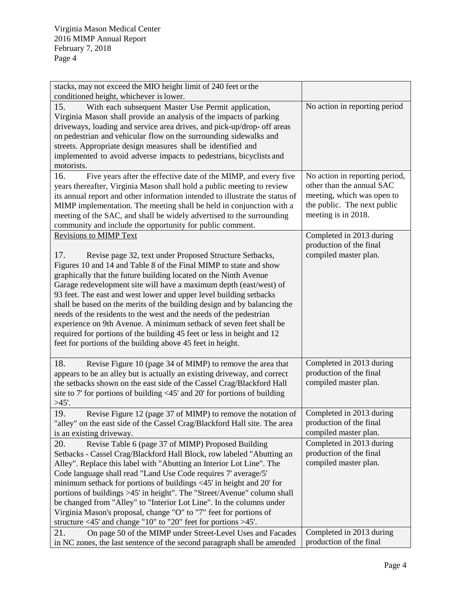| stacks, may not exceed the MIO height limit of 240 feet or the<br>conditioned height, whichever is lower.                                                                                                                                                                                                                                                                                                                                                                                                                                                                                                                                                                                                                                            |                                                                                                                                                 |
|------------------------------------------------------------------------------------------------------------------------------------------------------------------------------------------------------------------------------------------------------------------------------------------------------------------------------------------------------------------------------------------------------------------------------------------------------------------------------------------------------------------------------------------------------------------------------------------------------------------------------------------------------------------------------------------------------------------------------------------------------|-------------------------------------------------------------------------------------------------------------------------------------------------|
| 15.<br>With each subsequent Master Use Permit application,<br>Virginia Mason shall provide an analysis of the impacts of parking<br>driveways, loading and service area drives, and pick-up/drop- off areas<br>on pedestrian and vehicular flow on the surrounding sidewalks and<br>streets. Appropriate design measures shall be identified and<br>implemented to avoid adverse impacts to pedestrians, bicyclists and<br>motorists.                                                                                                                                                                                                                                                                                                                | No action in reporting period                                                                                                                   |
| 16.<br>Five years after the effective date of the MIMP, and every five<br>years thereafter, Virginia Mason shall hold a public meeting to review<br>its annual report and other information intended to illustrate the status of<br>MIMP implementation. The meeting shall be held in conjunction with a<br>meeting of the SAC, and shall be widely advertised to the surrounding<br>community and include the opportunity for public comment.                                                                                                                                                                                                                                                                                                       | No action in reporting period,<br>other than the annual SAC<br>meeting, which was open to<br>the public. The next public<br>meeting is in 2018. |
| <b>Revisions to MIMP Text</b><br>17.<br>Revise page 32, text under Proposed Structure Setbacks,<br>Figures 10 and 14 and Table 8 of the Final MIMP to state and show<br>graphically that the future building located on the Ninth Avenue<br>Garage redevelopment site will have a maximum depth (east/west) of<br>93 feet. The east and west lower and upper level building setbacks<br>shall be based on the merits of the building design and by balancing the<br>needs of the residents to the west and the needs of the pedestrian<br>experience on 9th Avenue. A minimum setback of seven feet shall be<br>required for portions of the building 45 feet or less in height and 12<br>feet for portions of the building above 45 feet in height. | Completed in 2013 during<br>production of the final<br>compiled master plan.                                                                    |
| 18.<br>Revise Figure 10 (page 34 of MIMP) to remove the area that<br>appears to be an alley but is actually an existing driveway, and correct<br>the setbacks shown on the east side of the Cassel Crag/Blackford Hall<br>site to 7' for portions of building $\langle 45' \rangle$ and 20' for portions of building<br>$>45'$ .                                                                                                                                                                                                                                                                                                                                                                                                                     | Completed in 2013 during<br>production of the final<br>compiled master plan.                                                                    |
| 19.<br>Revise Figure 12 (page 37 of MIMP) to remove the notation of<br>"alley" on the east side of the Cassel Crag/Blackford Hall site. The area<br>is an existing driveway.                                                                                                                                                                                                                                                                                                                                                                                                                                                                                                                                                                         | Completed in 2013 during<br>production of the final<br>compiled master plan.                                                                    |
| 20.<br>Revise Table 6 (page 37 of MIMP) Proposed Building<br>Setbacks - Cassel Crag/Blackford Hall Block, row labeled "Abutting an<br>Alley". Replace this label with "Abutting an Interior Lot Line". The<br>Code language shall read "Land Use Code requires 7' average/5'<br>minimum setback for portions of buildings <45' in height and 20' for<br>portions of buildings >45' in height". The "Street/Avenue" column shall<br>be changed from "Alley" to "Interior Lot Line". In the columns under<br>Virginia Mason's proposal, change "O" to "7" feet for portions of<br>structure $\langle 45' \rangle$ and change "10" to "20" feet for portions $>45'$ .                                                                                   | Completed in 2013 during<br>production of the final<br>compiled master plan.                                                                    |
| On page 50 of the MIMP under Street-Level Uses and Facades<br>21.<br>in NC zones, the last sentence of the second paragraph shall be amended                                                                                                                                                                                                                                                                                                                                                                                                                                                                                                                                                                                                         | Completed in 2013 during<br>production of the final                                                                                             |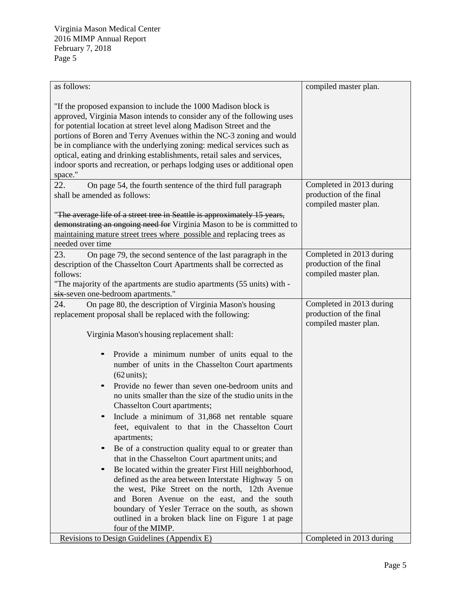| as follows:                                                                                                                                                                                                                                                                                                                                                                                                                                                                                                                                                                                                                                                                                                                                                                                                                                                                                              | compiled master plan.                            |
|----------------------------------------------------------------------------------------------------------------------------------------------------------------------------------------------------------------------------------------------------------------------------------------------------------------------------------------------------------------------------------------------------------------------------------------------------------------------------------------------------------------------------------------------------------------------------------------------------------------------------------------------------------------------------------------------------------------------------------------------------------------------------------------------------------------------------------------------------------------------------------------------------------|--------------------------------------------------|
| "If the proposed expansion to include the 1000 Madison block is<br>approved, Virginia Mason intends to consider any of the following uses<br>for potential location at street level along Madison Street and the<br>portions of Boren and Terry Avenues within the NC-3 zoning and would<br>be in compliance with the underlying zoning: medical services such as<br>optical, eating and drinking establishments, retail sales and services,<br>indoor sports and recreation, or perhaps lodging uses or additional open<br>space."                                                                                                                                                                                                                                                                                                                                                                      |                                                  |
| 22.<br>On page 54, the fourth sentence of the third full paragraph                                                                                                                                                                                                                                                                                                                                                                                                                                                                                                                                                                                                                                                                                                                                                                                                                                       | Completed in 2013 during                         |
| shall be amended as follows:                                                                                                                                                                                                                                                                                                                                                                                                                                                                                                                                                                                                                                                                                                                                                                                                                                                                             | production of the final                          |
| "The average life of a street tree in Seattle is approximately 15 years,<br>demonstrating an ongoing need for Virginia Mason to be is committed to<br>maintaining mature street trees where possible and replacing trees as<br>needed over time                                                                                                                                                                                                                                                                                                                                                                                                                                                                                                                                                                                                                                                          | compiled master plan.                            |
| 23.<br>On page 79, the second sentence of the last paragraph in the                                                                                                                                                                                                                                                                                                                                                                                                                                                                                                                                                                                                                                                                                                                                                                                                                                      | Completed in 2013 during                         |
| description of the Chasselton Court Apartments shall be corrected as                                                                                                                                                                                                                                                                                                                                                                                                                                                                                                                                                                                                                                                                                                                                                                                                                                     | production of the final                          |
| follows:                                                                                                                                                                                                                                                                                                                                                                                                                                                                                                                                                                                                                                                                                                                                                                                                                                                                                                 | compiled master plan.                            |
| "The majority of the apartments are studio apartments (55 units) with -                                                                                                                                                                                                                                                                                                                                                                                                                                                                                                                                                                                                                                                                                                                                                                                                                                  |                                                  |
| six-seven one-bedroom apartments."                                                                                                                                                                                                                                                                                                                                                                                                                                                                                                                                                                                                                                                                                                                                                                                                                                                                       |                                                  |
| 24.<br>On page 80, the description of Virginia Mason's housing                                                                                                                                                                                                                                                                                                                                                                                                                                                                                                                                                                                                                                                                                                                                                                                                                                           | Completed in 2013 during                         |
| replacement proposal shall be replaced with the following:                                                                                                                                                                                                                                                                                                                                                                                                                                                                                                                                                                                                                                                                                                                                                                                                                                               | production of the final<br>compiled master plan. |
| Virginia Mason's housing replacement shall:                                                                                                                                                                                                                                                                                                                                                                                                                                                                                                                                                                                                                                                                                                                                                                                                                                                              |                                                  |
| Provide a minimum number of units equal to the<br>number of units in the Chasselton Court apartments<br>$(62 \text{units})$ ;<br>Provide no fewer than seven one-bedroom units and<br>no units smaller than the size of the studio units in the<br><b>Chasselton Court apartments;</b><br>Include a minimum of 31,868 net rentable square<br>feet, equivalent to that in the Chasselton Court<br>apartments;<br>Be of a construction quality equal to or greater than<br>$\bullet$<br>that in the Chasselton Court apartment units; and<br>Be located within the greater First Hill neighborhood,<br>$\bullet$<br>defined as the area between Interstate Highway 5 on<br>the west, Pike Street on the north, 12th Avenue<br>and Boren Avenue on the east, and the south<br>boundary of Yesler Terrace on the south, as shown<br>outlined in a broken black line on Figure 1 at page<br>four of the MIMP. |                                                  |
| Revisions to Design Guidelines (Appendix E)                                                                                                                                                                                                                                                                                                                                                                                                                                                                                                                                                                                                                                                                                                                                                                                                                                                              | Completed in 2013 during                         |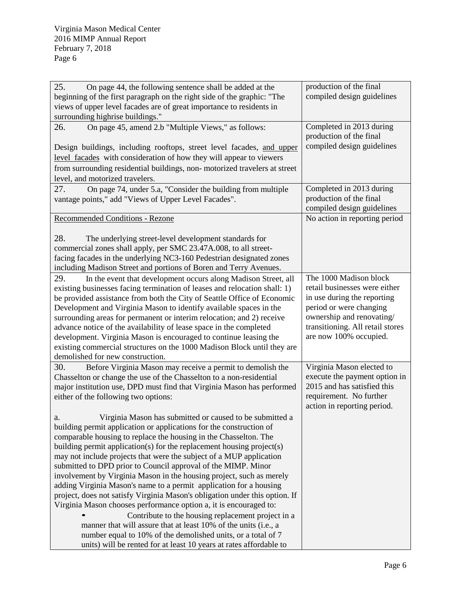| 25.<br>On page 44, the following sentence shall be added at the             | production of the final                             |
|-----------------------------------------------------------------------------|-----------------------------------------------------|
| beginning of the first paragraph on the right side of the graphic: "The     | compiled design guidelines                          |
| views of upper level facades are of great importance to residents in        |                                                     |
| surrounding highrise buildings."                                            |                                                     |
| On page 45, amend 2.b "Multiple Views," as follows:<br>26.                  | Completed in 2013 during<br>production of the final |
| Design buildings, including rooftops, street level facades, and upper       | compiled design guidelines                          |
| level facades with consideration of how they will appear to viewers         |                                                     |
| from surrounding residential buildings, non-motorized travelers at street   |                                                     |
| level, and motorized travelers.                                             |                                                     |
| 27.<br>On page 74, under 5.a, "Consider the building from multiple          | Completed in 2013 during                            |
| vantage points," add "Views of Upper Level Facades".                        | production of the final                             |
|                                                                             | compiled design guidelines                          |
| Recommended Conditions - Rezone                                             | No action in reporting period                       |
|                                                                             |                                                     |
| 28.<br>The underlying street-level development standards for                |                                                     |
| commercial zones shall apply, per SMC 23.47A.008, to all street-            |                                                     |
| facing facades in the underlying NC3-160 Pedestrian designated zones        |                                                     |
| including Madison Street and portions of Boren and Terry Avenues.           |                                                     |
| In the event that development occurs along Madison Street, all<br>29.       | The 1000 Madison block                              |
| existing businesses facing termination of leases and relocation shall: 1)   | retail businesses were either                       |
| be provided assistance from both the City of Seattle Office of Economic     | in use during the reporting                         |
| Development and Virginia Mason to identify available spaces in the          | period or were changing                             |
| surrounding areas for permanent or interim relocation; and 2) receive       | ownership and renovating/                           |
| advance notice of the availability of lease space in the completed          | transitioning. All retail stores                    |
| development. Virginia Mason is encouraged to continue leasing the           | are now 100% occupied.                              |
| existing commercial structures on the 1000 Madison Block until they are     |                                                     |
| demolished for new construction.                                            |                                                     |
| 30.<br>Before Virginia Mason may receive a permit to demolish the           | Virginia Mason elected to                           |
| Chasselton or change the use of the Chasselton to a non-residential         | execute the payment option in                       |
| major institution use, DPD must find that Virginia Mason has performed      | 2015 and has satisfied this                         |
| either of the following two options:                                        | requirement. No further                             |
|                                                                             | action in reporting period.                         |
| Virginia Mason has submitted or caused to be submitted a                    |                                                     |
| building permit application or applications for the construction of         |                                                     |
| comparable housing to replace the housing in the Chasselton. The            |                                                     |
| building permit application(s) for the replacement housing project(s)       |                                                     |
| may not include projects that were the subject of a MUP application         |                                                     |
| submitted to DPD prior to Council approval of the MIMP. Minor               |                                                     |
| involvement by Virginia Mason in the housing project, such as merely        |                                                     |
| adding Virginia Mason's name to a permit application for a housing          |                                                     |
| project, does not satisfy Virginia Mason's obligation under this option. If |                                                     |
| Virginia Mason chooses performance option a, it is encouraged to:           |                                                     |
| Contribute to the housing replacement project in a                          |                                                     |
| manner that will assure that at least 10% of the units (i.e., a             |                                                     |
| number equal to 10% of the demolished units, or a total of 7                |                                                     |
| units) will be rented for at least 10 years at rates affordable to          |                                                     |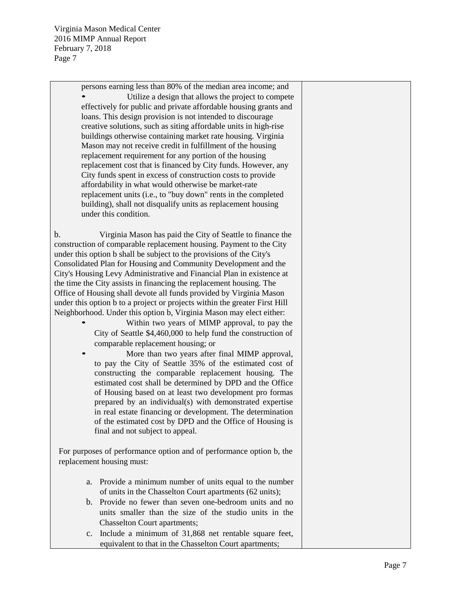> persons earning less than 80% of the median area income; and • Utilize a design that allows the project to compete effectively for public and private affordable housing grants and loans. This design provision is not intended to discourage creative solutions, such as siting affordable units in high-rise buildings otherwise containing market rate housing. Virginia Mason may not receive credit in fulfillment of the housing replacement requirement for any portion of the housing replacement cost that is financed by City funds. However, any City funds spent in excess of construction costs to provide affordability in what would otherwise be market-rate replacement units (i.e., to "buy down" rents in the completed building), shall not disqualify units as replacement housing under this condition.

b. Virginia Mason has paid the City of Seattle to finance the construction of comparable replacement housing. Payment to the City under this option b shall be subject to the provisions of the City's Consolidated Plan for Housing and Community Development and the City's Housing Levy Administrative and Financial Plan in existence at the time the City assists in financing the replacement housing. The Office of Housing shall devote all funds provided by Virginia Mason under this option b to a project or projects within the greater First Hill Neighborhood. Under this option b, Virginia Mason may elect either:

- Within two years of MIMP approval, to pay the City of Seattle \$4,460,000 to help fund the construction of comparable replacement housing; or
- More than two years after final MIMP approval, to pay the City of Seattle 35% of the estimated cost of constructing the comparable replacement housing. The estimated cost shall be determined by DPD and the Office of Housing based on at least two development pro formas prepared by an individual(s) with demonstrated expertise in real estate financing or development. The determination of the estimated cost by DPD and the Office of Housing is final and not subject to appeal.

For purposes of performance option and of performance option b, the replacement housing must:

- a. Provide a minimum number of units equal to the number of units in the Chasselton Court apartments (62 units);
- b. Provide no fewer than seven one-bedroom units and no units smaller than the size of the studio units in the Chasselton Court apartments;
- c. Include a minimum of 31,868 net rentable square feet, equivalent to that in the Chasselton Court apartments;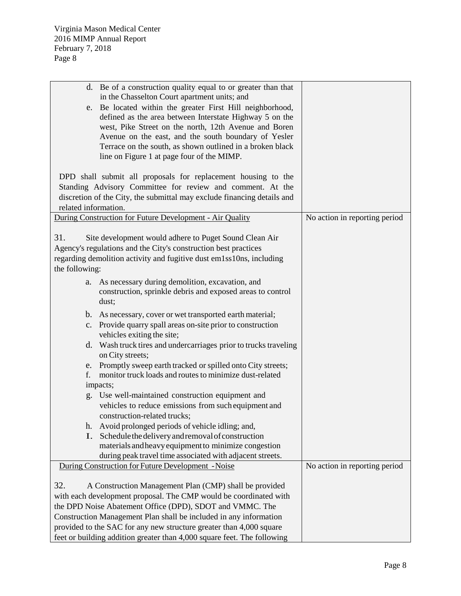|                       | d. Be of a construction quality equal to or greater than that<br>in the Chasselton Court apartment units; and<br>e. Be located within the greater First Hill neighborhood,<br>defined as the area between Interstate Highway 5 on the<br>west, Pike Street on the north, 12th Avenue and Boren<br>Avenue on the east, and the south boundary of Yesler<br>Terrace on the south, as shown outlined in a broken black<br>line on Figure 1 at page four of the MIMP. |                               |
|-----------------------|-------------------------------------------------------------------------------------------------------------------------------------------------------------------------------------------------------------------------------------------------------------------------------------------------------------------------------------------------------------------------------------------------------------------------------------------------------------------|-------------------------------|
|                       | DPD shall submit all proposals for replacement housing to the                                                                                                                                                                                                                                                                                                                                                                                                     |                               |
|                       | Standing Advisory Committee for review and comment. At the                                                                                                                                                                                                                                                                                                                                                                                                        |                               |
|                       | discretion of the City, the submittal may exclude financing details and                                                                                                                                                                                                                                                                                                                                                                                           |                               |
| related information.  |                                                                                                                                                                                                                                                                                                                                                                                                                                                                   |                               |
|                       | During Construction for Future Development - Air Quality                                                                                                                                                                                                                                                                                                                                                                                                          | No action in reporting period |
| 31.<br>the following: | Site development would adhere to Puget Sound Clean Air<br>Agency's regulations and the City's construction best practices<br>regarding demolition activity and fugitive dust em1ss10ns, including                                                                                                                                                                                                                                                                 |                               |
|                       | a. As necessary during demolition, excavation, and<br>construction, sprinkle debris and exposed areas to control<br>dust;                                                                                                                                                                                                                                                                                                                                         |                               |
|                       | b. As necessary, cover or wet transported earth material;                                                                                                                                                                                                                                                                                                                                                                                                         |                               |
|                       | c. Provide quarry spall areas on-site prior to construction<br>vehicles exiting the site;                                                                                                                                                                                                                                                                                                                                                                         |                               |
|                       | d. Wash truck tires and undercarriages prior to trucks traveling<br>on City streets;                                                                                                                                                                                                                                                                                                                                                                              |                               |
| e.                    | Promptly sweep earth tracked or spilled onto City streets;                                                                                                                                                                                                                                                                                                                                                                                                        |                               |
| f.                    | monitor truck loads and routes to minimize dust-related                                                                                                                                                                                                                                                                                                                                                                                                           |                               |
|                       | impacts;                                                                                                                                                                                                                                                                                                                                                                                                                                                          |                               |
|                       | g. Use well-maintained construction equipment and<br>vehicles to reduce emissions from such equipment and<br>construction-related trucks;                                                                                                                                                                                                                                                                                                                         |                               |
| h.                    | Avoid prolonged periods of vehicle idling; and,                                                                                                                                                                                                                                                                                                                                                                                                                   |                               |
| I.                    | Schedule the delivery and removal of construction                                                                                                                                                                                                                                                                                                                                                                                                                 |                               |
|                       | materials and heavy equipment to minimize congestion                                                                                                                                                                                                                                                                                                                                                                                                              |                               |
|                       | during peak travel time associated with adjacent streets.                                                                                                                                                                                                                                                                                                                                                                                                         |                               |
|                       | During Construction for Future Development - Noise                                                                                                                                                                                                                                                                                                                                                                                                                | No action in reporting period |
| 32.                   | A Construction Management Plan (CMP) shall be provided<br>with each development proposal. The CMP would be coordinated with                                                                                                                                                                                                                                                                                                                                       |                               |
|                       | the DPD Noise Abatement Office (DPD), SDOT and VMMC. The                                                                                                                                                                                                                                                                                                                                                                                                          |                               |
|                       | Construction Management Plan shall be included in any information                                                                                                                                                                                                                                                                                                                                                                                                 |                               |
|                       | provided to the SAC for any new structure greater than 4,000 square                                                                                                                                                                                                                                                                                                                                                                                               |                               |
|                       | feet or building addition greater than 4,000 square feet. The following                                                                                                                                                                                                                                                                                                                                                                                           |                               |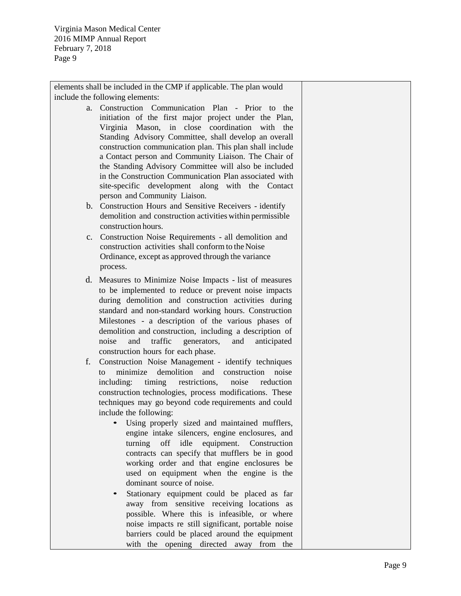elements shall be included in the CMP if applicable. The plan would include the following elements:

- a. Construction Communication Plan Prior to the initiation of the first major project under the Plan. Virginia Mason, in close coordination with the Standing Advisory Committee, shall develop an overall construction communication plan. This plan shall include a Contact person and Community Liaison. The Chair of the Standing Advisory Committee will also be included in the Construction Communication Plan associated with site-specific development along with the Contact person and Community Liaison.
- b. Construction Hours and Sensitive Receivers identify demolition and construction activities within permissible construction hours.
- c. Construction Noise Requirements all demolition and construction activities shall conform to the Noise Ordinance, except as approved through the variance process.
- d. Measures to Minimize Noise Impacts list of measures to be implemented to reduce or prevent noise impacts during demolition and construction activities during standard and non-standard working hours. Construction Milestones - a description of the various phases of demolition and construction, including a description of noise and traffic generators, and anticipated construction hours for each phase.
- f. Construction Noise Management identify techniques to minimize demolition and construction noise including: timing restrictions, noise reduction construction technologies, process modifications. These techniques may go beyond code requirements and could include the following:
	- Using properly sized and maintained mufflers, engine intake silencers, engine enclosures, and turning off idle equipment. Construction contracts can specify that mufflers be in good working order and that engine enclosures be used on equipment when the engine is the dominant source of noise.
	- Stationary equipment could be placed as far away from sensitive receiving locations as possible. Where this is infeasible, or where noise impacts re still significant, portable noise barriers could be placed around the equipment with the opening directed away from the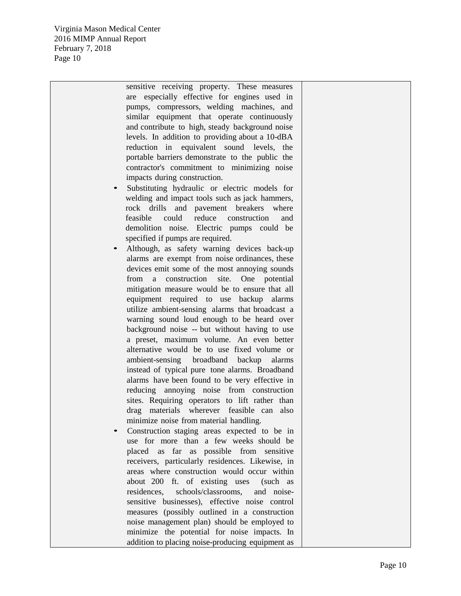> sensitive receiving property. These measures are especially effective for engines used in pumps, compressors, welding machines, and similar equipment that operate continuously and contribute to high, steady background noise levels. In addition to providing about a 10-dBA reduction in equivalent sound levels, the portable barriers demonstrate to the public the contractor's commitment to minimizing noise impacts during construction.

- Substituting hydraulic or electric models for welding and impact tools such as jack hammers, rock drills and pavement breakers where feasible could reduce construction and demolition noise. Electric pumps could be specified if pumps are required.
- Although, as safety warning devices back-up alarms are exempt from noise ordinances, these devices emit some of the most annoying sounds from a construction site. One potential mitigation measure would be to ensure that all equipment required to use backup alarms utilize ambient-sensing alarms that broadcast a warning sound loud enough to be heard over background noise -- but without having to use a preset, maximum volume. An even better alternative would be to use fixed volume or ambient-sensing broadband backup alarms instead of typical pure tone alarms. Broadband alarms have been found to be very effective in reducing annoying noise from construction sites. Requiring operators to lift rather than drag materials wherever feasible can also minimize noise from material handling.
- Construction staging areas expected to be in use for more than a few weeks should be placed as far as possible from sensitive receivers, particularly residences. Likewise, in areas where construction would occur within about 200 ft. of existing uses (such as residences, schools/classrooms, and noisesensitive businesses), effective noise control measures (possibly outlined in a construction noise management plan) should be employed to minimize the potential for noise impacts. In addition to placing noise-producing equipment as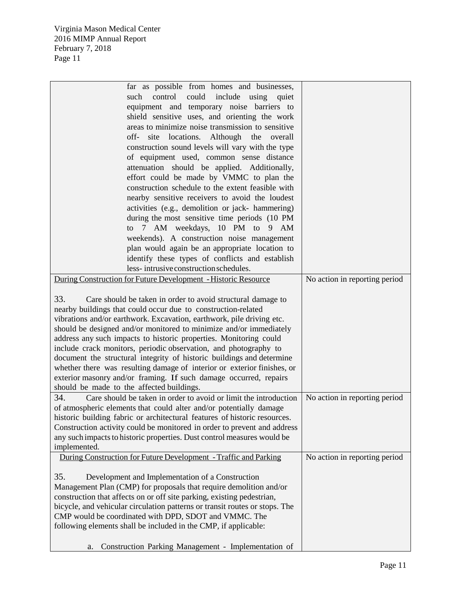| far as possible from homes and businesses,                                  |                               |
|-----------------------------------------------------------------------------|-------------------------------|
| control<br>could include using quiet<br>such                                |                               |
| equipment and temporary noise barriers to                                   |                               |
| shield sensitive uses, and orienting the work                               |                               |
| areas to minimize noise transmission to sensitive                           |                               |
| site locations. Although<br>off-<br>the<br>overall                          |                               |
| construction sound levels will vary with the type                           |                               |
| of equipment used, common sense distance                                    |                               |
| attenuation should be applied. Additionally,                                |                               |
| effort could be made by VMMC to plan the                                    |                               |
| construction schedule to the extent feasible with                           |                               |
| nearby sensitive receivers to avoid the loudest                             |                               |
| activities (e.g., demolition or jack- hammering)                            |                               |
| during the most sensitive time periods (10 PM                               |                               |
| 7 AM weekdays, 10 PM to<br>$9 \text{AM}$<br>to                              |                               |
| weekends). A construction noise management                                  |                               |
| plan would again be an appropriate location to                              |                               |
| identify these types of conflicts and establish                             |                               |
| less-intrusive construction schedules.                                      |                               |
| During Construction for Future Development - Historic Resource              | No action in reporting period |
|                                                                             |                               |
| 33.<br>Care should be taken in order to avoid structural damage to          |                               |
| nearby buildings that could occur due to construction-related               |                               |
| vibrations and/or earthwork. Excavation, earthwork, pile driving etc.       |                               |
| should be designed and/or monitored to minimize and/or immediately          |                               |
| address any such impacts to historic properties. Monitoring could           |                               |
| include crack monitors, periodic observation, and photography to            |                               |
| document the structural integrity of historic buildings and determine       |                               |
| whether there was resulting damage of interior or exterior finishes, or     |                               |
| exterior masonry and/or framing. If such damage occurred, repairs           |                               |
| should be made to the affected buildings.                                   |                               |
| 34.<br>Care should be taken in order to avoid or limit the introduction     | No action in reporting period |
| of atmospheric elements that could alter and/or potentially damage          |                               |
| historic building fabric or architectural features of historic resources.   |                               |
| Construction activity could be monitored in order to prevent and address    |                               |
| any such impacts to historic properties. Dust control measures would be     |                               |
| implemented.                                                                |                               |
| During Construction for Future Development - Traffic and Parking            | No action in reporting period |
|                                                                             |                               |
| 35.<br>Development and Implementation of a Construction                     |                               |
| Management Plan (CMP) for proposals that require demolition and/or          |                               |
| construction that affects on or off site parking, existing pedestrian,      |                               |
| bicycle, and vehicular circulation patterns or transit routes or stops. The |                               |
| CMP would be coordinated with DPD, SDOT and VMMC. The                       |                               |
| following elements shall be included in the CMP, if applicable:             |                               |
|                                                                             |                               |
| Construction Parking Management - Implementation of<br>a.                   |                               |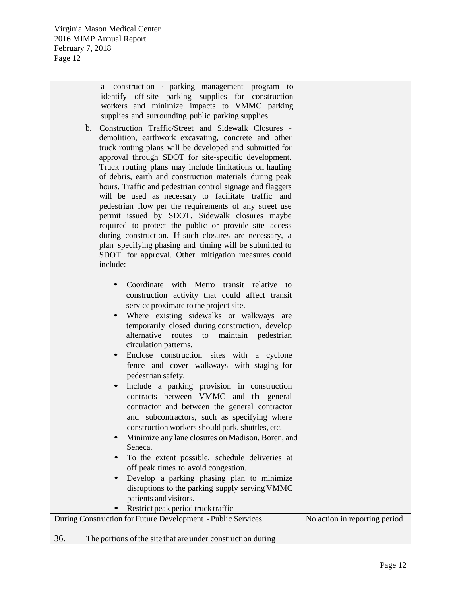| a construction · parking management program to<br>identify off-site parking supplies for construction<br>workers and minimize impacts to VMMC parking<br>supplies and surrounding public parking supplies.<br>b. Construction Traffic/Street and Sidewalk Closures -                                                                                                                                                                                                                                                                                                                                                                                                                                                                                                                                                                                                                                                                                                                              |                               |
|---------------------------------------------------------------------------------------------------------------------------------------------------------------------------------------------------------------------------------------------------------------------------------------------------------------------------------------------------------------------------------------------------------------------------------------------------------------------------------------------------------------------------------------------------------------------------------------------------------------------------------------------------------------------------------------------------------------------------------------------------------------------------------------------------------------------------------------------------------------------------------------------------------------------------------------------------------------------------------------------------|-------------------------------|
| demolition, earthwork excavating, concrete and other<br>truck routing plans will be developed and submitted for<br>approval through SDOT for site-specific development.<br>Truck routing plans may include limitations on hauling<br>of debris, earth and construction materials during peak<br>hours. Traffic and pedestrian control signage and flaggers                                                                                                                                                                                                                                                                                                                                                                                                                                                                                                                                                                                                                                        |                               |
| will be used as necessary to facilitate traffic and<br>pedestrian flow per the requirements of any street use<br>permit issued by SDOT. Sidewalk closures maybe<br>required to protect the public or provide site access                                                                                                                                                                                                                                                                                                                                                                                                                                                                                                                                                                                                                                                                                                                                                                          |                               |
| during construction. If such closures are necessary, a<br>plan specifying phasing and timing will be submitted to<br>SDOT for approval. Other mitigation measures could<br>include:                                                                                                                                                                                                                                                                                                                                                                                                                                                                                                                                                                                                                                                                                                                                                                                                               |                               |
| Coordinate with Metro transit relative to<br>construction activity that could affect transit<br>service proximate to the project site.<br>Where existing sidewalks or walkways are<br>temporarily closed during construction, develop<br>alternative routes to maintain pedestrian<br>circulation patterns.<br>Enclose construction sites with a cyclone<br>fence and cover walkways with staging for<br>pedestrian safety.<br>Include a parking provision in construction<br>contracts between VMMC and th general<br>contractor and between the general contractor<br>and subcontractors, such as specifying where<br>construction workers should park, shuttles, etc.<br>Minimize any lane closures on Madison, Boren, and<br>Seneca.<br>To the extent possible, schedule deliveries at<br>off peak times to avoid congestion.<br>Develop a parking phasing plan to minimize<br>disruptions to the parking supply serving VMMC<br>patients and visitors.<br>Restrict peak period truck traffic |                               |
| During Construction for Future Development - Public Services                                                                                                                                                                                                                                                                                                                                                                                                                                                                                                                                                                                                                                                                                                                                                                                                                                                                                                                                      | No action in reporting period |
| 36.<br>The portions of the site that are under construction during                                                                                                                                                                                                                                                                                                                                                                                                                                                                                                                                                                                                                                                                                                                                                                                                                                                                                                                                |                               |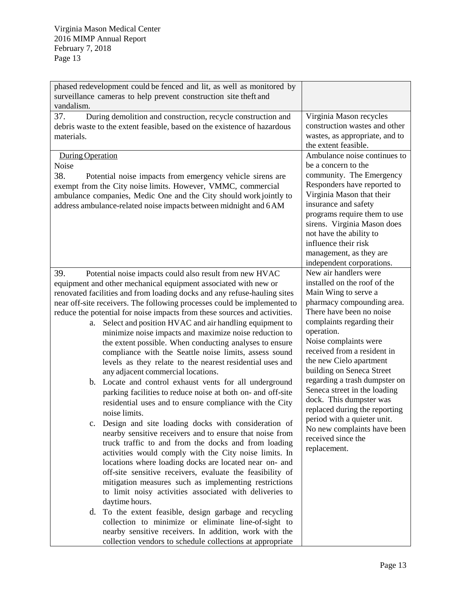| vandalism.                                                                                                                                                                                                                                                                                                                                                             | phased redevelopment could be fenced and lit, as well as monitored by<br>surveillance cameras to help prevent construction site theft and                                                                                                                                                                                                                                                                                                                                                      |                                                                                                                                                                                                                                                                                                                                               |
|------------------------------------------------------------------------------------------------------------------------------------------------------------------------------------------------------------------------------------------------------------------------------------------------------------------------------------------------------------------------|------------------------------------------------------------------------------------------------------------------------------------------------------------------------------------------------------------------------------------------------------------------------------------------------------------------------------------------------------------------------------------------------------------------------------------------------------------------------------------------------|-----------------------------------------------------------------------------------------------------------------------------------------------------------------------------------------------------------------------------------------------------------------------------------------------------------------------------------------------|
| 37.<br>materials.                                                                                                                                                                                                                                                                                                                                                      | During demolition and construction, recycle construction and<br>debris waste to the extent feasible, based on the existence of hazardous                                                                                                                                                                                                                                                                                                                                                       | Virginia Mason recycles<br>construction wastes and other<br>wastes, as appropriate, and to<br>the extent feasible.                                                                                                                                                                                                                            |
| During Operation<br><b>Noise</b><br>38.                                                                                                                                                                                                                                                                                                                                | Potential noise impacts from emergency vehicle sirens are<br>exempt from the City noise limits. However, VMMC, commercial<br>ambulance companies, Medic One and the City should work jointly to<br>address ambulance-related noise impacts between midnight and 6 AM                                                                                                                                                                                                                           | Ambulance noise continues to<br>be a concern to the<br>community. The Emergency<br>Responders have reported to<br>Virginia Mason that their<br>insurance and safety<br>programs require them to use<br>sirens. Virginia Mason does<br>not have the ability to<br>influence their risk<br>management, as they are<br>independent corporations. |
| 39.<br>Potential noise impacts could also result from new HVAC<br>equipment and other mechanical equipment associated with new or<br>renovated facilities and from loading docks and any refuse-hauling sites<br>near off-site receivers. The following processes could be implemented to<br>reduce the potential for noise impacts from these sources and activities. |                                                                                                                                                                                                                                                                                                                                                                                                                                                                                                | New air handlers were<br>installed on the roof of the<br>Main Wing to serve a<br>pharmacy compounding area.<br>There have been no noise                                                                                                                                                                                                       |
| a.                                                                                                                                                                                                                                                                                                                                                                     | Select and position HVAC and air handling equipment to<br>minimize noise impacts and maximize noise reduction to<br>the extent possible. When conducting analyses to ensure<br>compliance with the Seattle noise limits, assess sound<br>levels as they relate to the nearest residential uses and<br>any adjacent commercial locations.                                                                                                                                                       | complaints regarding their<br>operation.<br>Noise complaints were<br>received from a resident in<br>the new Cielo apartment<br>building on Seneca Street                                                                                                                                                                                      |
| b.                                                                                                                                                                                                                                                                                                                                                                     | Locate and control exhaust vents for all underground<br>parking facilities to reduce noise at both on- and off-site<br>residential uses and to ensure compliance with the City<br>noise limits.                                                                                                                                                                                                                                                                                                | regarding a trash dumpster on<br>Seneca street in the loading<br>dock. This dumpster was<br>replaced during the reporting                                                                                                                                                                                                                     |
| $c_{\cdot}$                                                                                                                                                                                                                                                                                                                                                            | Design and site loading docks with consideration of<br>nearby sensitive receivers and to ensure that noise from<br>truck traffic to and from the docks and from loading<br>activities would comply with the City noise limits. In<br>locations where loading docks are located near on- and<br>off-site sensitive receivers, evaluate the feasibility of<br>mitigation measures such as implementing restrictions<br>to limit noisy activities associated with deliveries to<br>daytime hours. | period with a quieter unit.<br>No new complaints have been<br>received since the<br>replacement.                                                                                                                                                                                                                                              |
| d.                                                                                                                                                                                                                                                                                                                                                                     | To the extent feasible, design garbage and recycling<br>collection to minimize or eliminate line-of-sight to<br>nearby sensitive receivers. In addition, work with the<br>collection vendors to schedule collections at appropriate                                                                                                                                                                                                                                                            |                                                                                                                                                                                                                                                                                                                                               |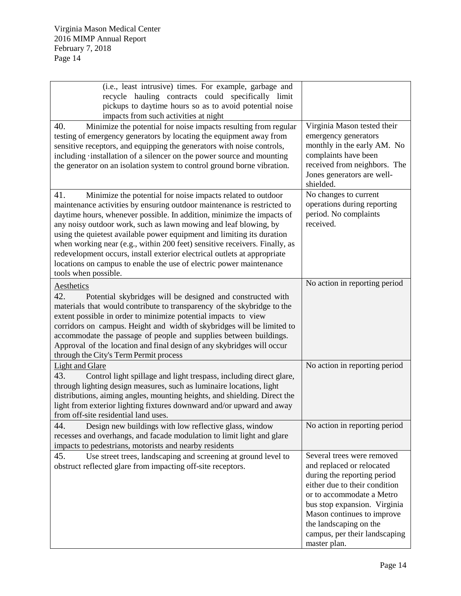| (i.e., least intrusive) times. For example, garbage and<br>recycle hauling contracts could specifically limit<br>pickups to daytime hours so as to avoid potential noise<br>impacts from such activities at night                                                                                                                                                                                                                                                                                                                                                                                                              |                                                                                                                                                                                                                                                                                               |
|--------------------------------------------------------------------------------------------------------------------------------------------------------------------------------------------------------------------------------------------------------------------------------------------------------------------------------------------------------------------------------------------------------------------------------------------------------------------------------------------------------------------------------------------------------------------------------------------------------------------------------|-----------------------------------------------------------------------------------------------------------------------------------------------------------------------------------------------------------------------------------------------------------------------------------------------|
| 40.<br>Minimize the potential for noise impacts resulting from regular<br>testing of emergency generators by locating the equipment away from<br>sensitive receptors, and equipping the generators with noise controls,<br>including installation of a silencer on the power source and mounting<br>the generator on an isolation system to control ground borne vibration.                                                                                                                                                                                                                                                    | Virginia Mason tested their<br>emergency generators<br>monthly in the early AM. No<br>complaints have been<br>received from neighbors. The<br>Jones generators are well-<br>shielded.                                                                                                         |
| 41.<br>Minimize the potential for noise impacts related to outdoor<br>maintenance activities by ensuring outdoor maintenance is restricted to<br>daytime hours, whenever possible. In addition, minimize the impacts of<br>any noisy outdoor work, such as lawn mowing and leaf blowing, by<br>using the quietest available power equipment and limiting its duration<br>when working near (e.g., within 200 feet) sensitive receivers. Finally, as<br>redevelopment occurs, install exterior electrical outlets at appropriate<br>locations on campus to enable the use of electric power maintenance<br>tools when possible. | No changes to current<br>operations during reporting<br>period. No complaints<br>received.                                                                                                                                                                                                    |
| Aesthetics<br>42.<br>Potential skybridges will be designed and constructed with<br>materials that would contribute to transparency of the skybridge to the<br>extent possible in order to minimize potential impacts to view<br>corridors on campus. Height and width of skybridges will be limited to<br>accommodate the passage of people and supplies between buildings.<br>Approval of the location and final design of any skybridges will occur<br>through the City's Term Permit process                                                                                                                                | No action in reporting period                                                                                                                                                                                                                                                                 |
| <b>Light and Glare</b><br>43.<br>Control light spillage and light trespass, including direct glare,<br>through lighting design measures, such as luminaire locations, light<br>distributions, aiming angles, mounting heights, and shielding. Direct the<br>light from exterior lighting fixtures downward and/or upward and away<br>from off-site residential land uses.                                                                                                                                                                                                                                                      | No action in reporting period                                                                                                                                                                                                                                                                 |
| 44.<br>Design new buildings with low reflective glass, window<br>recesses and overhangs, and facade modulation to limit light and glare<br>impacts to pedestrians, motorists and nearby residents                                                                                                                                                                                                                                                                                                                                                                                                                              | No action in reporting period                                                                                                                                                                                                                                                                 |
| 45.<br>Use street trees, landscaping and screening at ground level to<br>obstruct reflected glare from impacting off-site receptors.                                                                                                                                                                                                                                                                                                                                                                                                                                                                                           | Several trees were removed<br>and replaced or relocated<br>during the reporting period<br>either due to their condition<br>or to accommodate a Metro<br>bus stop expansion. Virginia<br>Mason continues to improve<br>the landscaping on the<br>campus, per their landscaping<br>master plan. |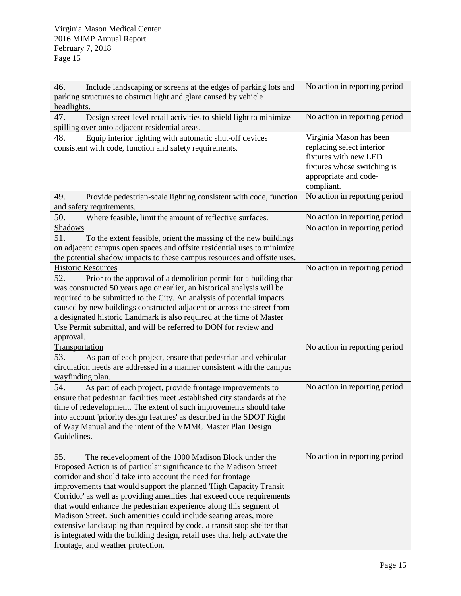| 46.<br>Include landscaping or screens at the edges of parking lots and<br>parking structures to obstruct light and glare caused by vehicle<br>headlights.                                                                                                                                                                                                                                                                                                                                                                                                                                                                                                                                   | No action in reporting period                                                                                                                       |
|---------------------------------------------------------------------------------------------------------------------------------------------------------------------------------------------------------------------------------------------------------------------------------------------------------------------------------------------------------------------------------------------------------------------------------------------------------------------------------------------------------------------------------------------------------------------------------------------------------------------------------------------------------------------------------------------|-----------------------------------------------------------------------------------------------------------------------------------------------------|
| 47.<br>Design street-level retail activities to shield light to minimize<br>spilling over onto adjacent residential areas.                                                                                                                                                                                                                                                                                                                                                                                                                                                                                                                                                                  | No action in reporting period                                                                                                                       |
| 48.<br>Equip interior lighting with automatic shut-off devices<br>consistent with code, function and safety requirements.                                                                                                                                                                                                                                                                                                                                                                                                                                                                                                                                                                   | Virginia Mason has been<br>replacing select interior<br>fixtures with new LED<br>fixtures whose switching is<br>appropriate and code-<br>compliant. |
| 49.<br>Provide pedestrian-scale lighting consistent with code, function<br>and safety requirements.                                                                                                                                                                                                                                                                                                                                                                                                                                                                                                                                                                                         | No action in reporting period                                                                                                                       |
| 50.<br>Where feasible, limit the amount of reflective surfaces.<br>Shadows<br>51.<br>To the extent feasible, orient the massing of the new buildings<br>on adjacent campus open spaces and offsite residential uses to minimize<br>the potential shadow impacts to these campus resources and offsite uses.                                                                                                                                                                                                                                                                                                                                                                                 | No action in reporting period<br>No action in reporting period                                                                                      |
| <b>Historic Resources</b><br>52.<br>Prior to the approval of a demolition permit for a building that<br>was constructed 50 years ago or earlier, an historical analysis will be<br>required to be submitted to the City. An analysis of potential impacts<br>caused by new buildings constructed adjacent or across the street from<br>a designated historic Landmark is also required at the time of Master<br>Use Permit submittal, and will be referred to DON for review and<br>approval.                                                                                                                                                                                               | No action in reporting period                                                                                                                       |
| Transportation<br>53.<br>As part of each project, ensure that pedestrian and vehicular<br>circulation needs are addressed in a manner consistent with the campus<br>wayfinding plan.                                                                                                                                                                                                                                                                                                                                                                                                                                                                                                        | No action in reporting period                                                                                                                       |
| 54.<br>As part of each project, provide frontage improvements to<br>ensure that pedestrian facilities meet .established city standards at the<br>time of redevelopment. The extent of such improvements should take<br>into account 'priority design features' as described in the SDOT Right<br>of Way Manual and the intent of the VMMC Master Plan Design<br>Guidelines.                                                                                                                                                                                                                                                                                                                 | No action in reporting period                                                                                                                       |
| 55.<br>The redevelopment of the 1000 Madison Block under the<br>Proposed Action is of particular significance to the Madison Street<br>corridor and should take into account the need for frontage<br>improvements that would support the planned 'High Capacity Transit<br>Corridor' as well as providing amenities that exceed code requirements<br>that would enhance the pedestrian experience along this segment of<br>Madison Street. Such amenities could include seating areas, more<br>extensive landscaping than required by code, a transit stop shelter that<br>is integrated with the building design, retail uses that help activate the<br>frontage, and weather protection. | No action in reporting period                                                                                                                       |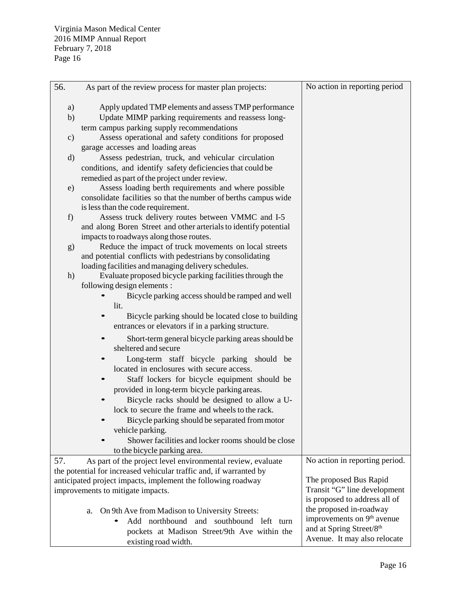| 56.                                                                | As part of the review process for master plan projects:                                                  | No action in reporting period                                     |
|--------------------------------------------------------------------|----------------------------------------------------------------------------------------------------------|-------------------------------------------------------------------|
|                                                                    |                                                                                                          |                                                                   |
| a)                                                                 | Apply updated TMP elements and assess TMP performance                                                    |                                                                   |
| b)                                                                 | Update MIMP parking requirements and reassess long-                                                      |                                                                   |
|                                                                    | term campus parking supply recommendations<br>Assess operational and safety conditions for proposed      |                                                                   |
| $\mathbf{c})$                                                      | garage accesses and loading areas                                                                        |                                                                   |
| $\rm d)$                                                           | Assess pedestrian, truck, and vehicular circulation                                                      |                                                                   |
|                                                                    | conditions, and identify safety deficiencies that could be                                               |                                                                   |
|                                                                    | remedied as part of the project under review.                                                            |                                                                   |
| e)                                                                 | Assess loading berth requirements and where possible                                                     |                                                                   |
|                                                                    | consolidate facilities so that the number of berths campus wide                                          |                                                                   |
|                                                                    | is less than the code requirement.                                                                       |                                                                   |
| f)                                                                 | Assess truck delivery routes between VMMC and I-5                                                        |                                                                   |
|                                                                    | and along Boren Street and other arterials to identify potential                                         |                                                                   |
|                                                                    | impacts to roadways along those routes.                                                                  |                                                                   |
| g)                                                                 | Reduce the impact of truck movements on local streets                                                    |                                                                   |
|                                                                    | and potential conflicts with pedestrians by consolidating                                                |                                                                   |
|                                                                    | loading facilities and managing delivery schedules.                                                      |                                                                   |
| h)                                                                 | Evaluate proposed bicycle parking facilities through the                                                 |                                                                   |
|                                                                    | following design elements :                                                                              |                                                                   |
|                                                                    | Bicycle parking access should be ramped and well                                                         |                                                                   |
|                                                                    | lit.                                                                                                     |                                                                   |
|                                                                    | Bicycle parking should be located close to building<br>entrances or elevators if in a parking structure. |                                                                   |
|                                                                    |                                                                                                          |                                                                   |
|                                                                    | Short-term general bicycle parking areas should be<br>sheltered and secure                               |                                                                   |
|                                                                    | Long-term staff bicycle parking should be                                                                |                                                                   |
|                                                                    | located in enclosures with secure access.                                                                |                                                                   |
|                                                                    | Staff lockers for bicycle equipment should be                                                            |                                                                   |
|                                                                    | provided in long-term bicycle parking areas.                                                             |                                                                   |
|                                                                    | Bicycle racks should be designed to allow a U-                                                           |                                                                   |
|                                                                    | lock to secure the frame and wheels to the rack.                                                         |                                                                   |
|                                                                    | Bicycle parking should be separated from motor                                                           |                                                                   |
|                                                                    | vehicle parking.                                                                                         |                                                                   |
|                                                                    | Shower facilities and locker rooms should be close                                                       |                                                                   |
|                                                                    | to the bicycle parking area.                                                                             |                                                                   |
| 57.                                                                | As part of the project level environmental review, evaluate                                              | No action in reporting period.                                    |
| the potential for increased vehicular traffic and, if warranted by |                                                                                                          |                                                                   |
|                                                                    | anticipated project impacts, implement the following roadway                                             | The proposed Bus Rapid                                            |
|                                                                    | improvements to mitigate impacts.                                                                        | Transit "G" line development                                      |
|                                                                    |                                                                                                          | is proposed to address all of                                     |
|                                                                    | On 9th Ave from Madison to University Streets:<br>a.                                                     | the proposed in-roadway<br>improvements on 9 <sup>th</sup> avenue |
|                                                                    | Add northbound and southbound left turn                                                                  | and at Spring Street/8th                                          |
|                                                                    | pockets at Madison Street/9th Ave within the                                                             | Avenue. It may also relocate                                      |
|                                                                    | existing road width.                                                                                     |                                                                   |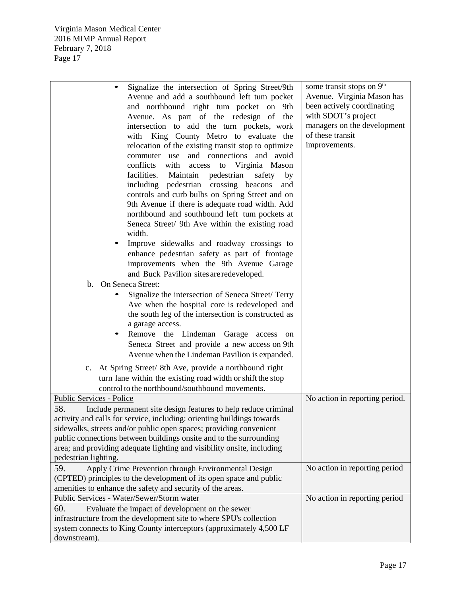| Signalize the intersection of Spring Street/9th                            | some transit stops on 9 <sup>th</sup> |  |  |  |
|----------------------------------------------------------------------------|---------------------------------------|--|--|--|
| Avenue and add a southbound left tum pocket                                | Avenue. Virginia Mason has            |  |  |  |
| and northbound right tum pocket on<br>9th                                  | been actively coordinating            |  |  |  |
| Avenue. As part of the redesign of the                                     | with SDOT's project                   |  |  |  |
| intersection to add the turn pockets, work                                 | managers on the development           |  |  |  |
| with King County Metro to evaluate the                                     | of these transit                      |  |  |  |
| relocation of the existing transit stop to optimize                        | improvements.                         |  |  |  |
| commuter use and connections and avoid                                     |                                       |  |  |  |
| conflicts<br>Virginia Mason<br>with<br>access<br>to                        |                                       |  |  |  |
| facilities.<br>Maintain<br>pedestrian<br>safety<br>by                      |                                       |  |  |  |
| including pedestrian crossing beacons<br>and                               |                                       |  |  |  |
| controls and curb bulbs on Spring Street and on                            |                                       |  |  |  |
| 9th Avenue if there is adequate road width. Add                            |                                       |  |  |  |
| northbound and southbound left tum pockets at                              |                                       |  |  |  |
| Seneca Street/ 9th Ave within the existing road                            |                                       |  |  |  |
| width.                                                                     |                                       |  |  |  |
| Improve sidewalks and roadway crossings to                                 |                                       |  |  |  |
| enhance pedestrian safety as part of frontage                              |                                       |  |  |  |
| improvements when the 9th Avenue Garage                                    |                                       |  |  |  |
| and Buck Pavilion sites are redeveloped.                                   |                                       |  |  |  |
| On Seneca Street:<br>$\mathbf{b}$ .                                        |                                       |  |  |  |
| Signalize the intersection of Seneca Street/ Terry                         |                                       |  |  |  |
|                                                                            |                                       |  |  |  |
| Ave when the hospital core is redeveloped and                              |                                       |  |  |  |
| the south leg of the intersection is constructed as                        |                                       |  |  |  |
| a garage access.                                                           |                                       |  |  |  |
| Remove the Lindeman Garage access<br>on                                    |                                       |  |  |  |
| Seneca Street and provide a new access on 9th                              |                                       |  |  |  |
| Avenue when the Lindeman Pavilion is expanded.                             |                                       |  |  |  |
| c. At Spring Street/ 8th Ave, provide a northbound right                   |                                       |  |  |  |
| turn lane within the existing road width or shift the stop                 |                                       |  |  |  |
| control to the northbound/southbound movements.                            |                                       |  |  |  |
| Public Services - Police                                                   | No action in reporting period.        |  |  |  |
| 58.<br>Include permanent site design features to help reduce criminal      |                                       |  |  |  |
| activity and calls for service, including: orienting buildings towards     |                                       |  |  |  |
| sidewalks, streets and/or public open spaces; providing convenient         |                                       |  |  |  |
| public connections between buildings onsite and to the surrounding         |                                       |  |  |  |
| area; and providing adequate lighting and visibility onsite, including     |                                       |  |  |  |
| pedestrian lighting.                                                       |                                       |  |  |  |
| 59.<br>Apply Crime Prevention through Environmental Design                 | No action in reporting period         |  |  |  |
| (CPTED) principles to the development of its open space and public         |                                       |  |  |  |
| amenities to enhance the safety and security of the areas.                 |                                       |  |  |  |
| Public Services - Water/Sewer/Storm water<br>No action in reporting period |                                       |  |  |  |
| 60.<br>Evaluate the impact of development on the sewer                     |                                       |  |  |  |
| infrastructure from the development site to where SPU's collection         |                                       |  |  |  |
| system connects to King County interceptors (approximately 4,500 LF        |                                       |  |  |  |
| downstream).                                                               |                                       |  |  |  |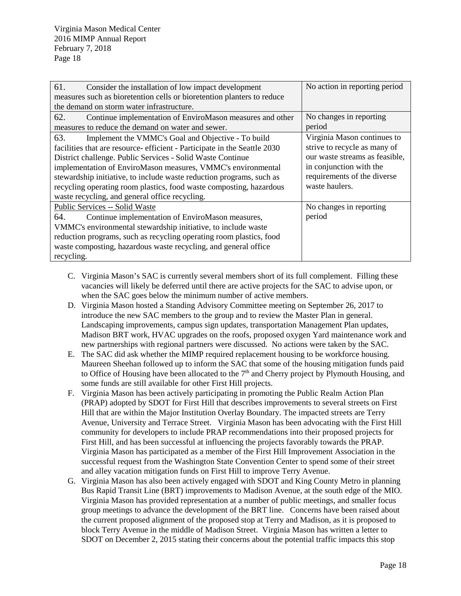| 61.<br>Consider the installation of low impact development               | No action in reporting period  |  |  |
|--------------------------------------------------------------------------|--------------------------------|--|--|
| measures such as bioretention cells or bioretention planters to reduce   |                                |  |  |
| the demand on storm water infrastructure.                                |                                |  |  |
| 62.<br>Continue implementation of EnviroMason measures and other         | No changes in reporting        |  |  |
| measures to reduce the demand on water and sewer.                        | period                         |  |  |
| 63.<br>Implement the VMMC's Goal and Objective - To build                | Virginia Mason continues to    |  |  |
| facilities that are resource-efficient - Participate in the Seattle 2030 | strive to recycle as many of   |  |  |
| District challenge. Public Services - Solid Waste Continue               | our waste streams as feasible, |  |  |
| implementation of EnviroMason measures, VMMC's environmental             | in conjunction with the        |  |  |
| stewardship initiative, to include waste reduction programs, such as     | requirements of the diverse    |  |  |
| recycling operating room plastics, food waste composting, hazardous      | waste haulers.                 |  |  |
| waste recycling, and general office recycling.                           |                                |  |  |
| Public Services -- Solid Waste                                           | No changes in reporting        |  |  |
| Continue implementation of EnviroMason measures,<br>64.                  | period                         |  |  |
| VMMC's environmental stewardship initiative, to include waste            |                                |  |  |
| reduction programs, such as recycling operating room plastics, food      |                                |  |  |
| waste composting, hazardous waste recycling, and general office          |                                |  |  |
| recycling.                                                               |                                |  |  |

- C. Virginia Mason's SAC is currently several members short of its full complement. Filling these vacancies will likely be deferred until there are active projects for the SAC to advise upon, or when the SAC goes below the minimum number of active members.
- D. Virginia Mason hosted a Standing Advisory Committee meeting on September 26, 2017 to introduce the new SAC members to the group and to review the Master Plan in general. Landscaping improvements, campus sign updates, transportation Management Plan updates, Madison BRT work, HVAC upgrades on the roofs, proposed oxygen Yard maintenance work and new partnerships with regional partners were discussed. No actions were taken by the SAC.
- E. The SAC did ask whether the MIMP required replacement housing to be workforce housing. Maureen Sheehan followed up to inform the SAC that some of the housing mitigation funds paid to Office of Housing have been allocated to the  $7<sup>th</sup>$  and Cherry project by Plymouth Housing, and some funds are still available for other First Hill projects.
- F. Virginia Mason has been actively participating in promoting the Public Realm Action Plan (PRAP) adopted by SDOT for First Hill that describes improvements to several streets on First Hill that are within the Major Institution Overlay Boundary. The impacted streets are Terry Avenue, University and Terrace Street. Virginia Mason has been advocating with the First Hill community for developers to include PRAP recommendations into their proposed projects for First Hill, and has been successful at influencing the projects favorably towards the PRAP. Virginia Mason has participated as a member of the First Hill Improvement Association in the successful request from the Washington State Convention Center to spend some of their street and alley vacation mitigation funds on First Hill to improve Terry Avenue.
- G. Virginia Mason has also been actively engaged with SDOT and King County Metro in planning Bus Rapid Transit Line (BRT) improvements to Madison Avenue, at the south edge of the MIO. Virginia Mason has provided representation at a number of public meetings, and smaller focus group meetings to advance the development of the BRT line. Concerns have been raised about the current proposed alignment of the proposed stop at Terry and Madison, as it is proposed to block Terry Avenue in the middle of Madison Street. Virginia Mason has written a letter to SDOT on December 2, 2015 stating their concerns about the potential traffic impacts this stop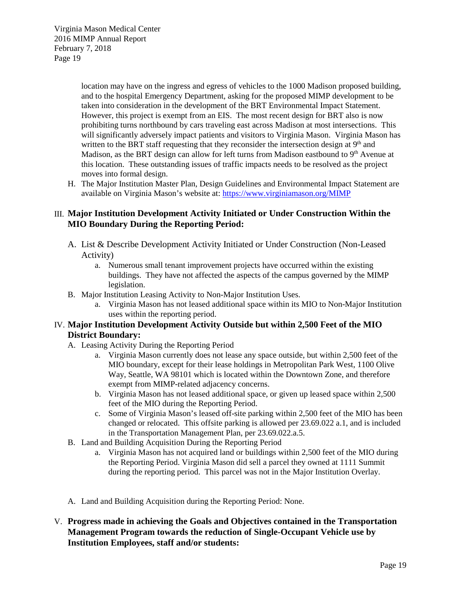location may have on the ingress and egress of vehicles to the 1000 Madison proposed building, and to the hospital Emergency Department, asking for the proposed MIMP development to be taken into consideration in the development of the BRT Environmental Impact Statement. However, this project is exempt from an EIS. The most recent design for BRT also is now prohibiting turns northbound by cars traveling east across Madison at most intersections. This will significantly adversely impact patients and visitors to Virginia Mason. Virginia Mason has written to the BRT staff requesting that they reconsider the intersection design at  $9<sup>th</sup>$  and Madison, as the BRT design can allow for left turns from Madison eastbound to  $9<sup>th</sup>$  Avenue at this location. These outstanding issues of traffic impacts needs to be resolved as the project moves into formal design.

H. The Major Institution Master Plan, Design Guidelines and Environmental Impact Statement are available on Virginia Mason's website at:<https://www.virginiamason.org/MIMP>

# III. **Major Institution Development Activity Initiated or Under Construction Within the MIO Boundary During the Reporting Period:**

- A. List & Describe Development Activity Initiated or Under Construction (Non-Leased Activity)
	- a. Numerous small tenant improvement projects have occurred within the existing buildings. They have not affected the aspects of the campus governed by the MIMP legislation.
- B. Major Institution Leasing Activity to Non-Major Institution Uses.
	- a. Virginia Mason has not leased additional space within its MIO to Non-Major Institution uses within the reporting period.

# IV. **Major Institution Development Activity Outside but within 2,500 Feet of the MIO District Boundary:**

- A. Leasing Activity During the Reporting Period
	- a. Virginia Mason currently does not lease any space outside, but within 2,500 feet of the MIO boundary, except for their lease holdings in Metropolitan Park West, 1100 Olive Way, Seattle, WA 98101 which is located within the Downtown Zone, and therefore exempt from MIMP-related adjacency concerns.
	- b. Virginia Mason has not leased additional space, or given up leased space within 2,500 feet of the MIO during the Reporting Period.
	- c. Some of Virginia Mason's leased off-site parking within 2,500 feet of the MIO has been changed or relocated. This offsite parking is allowed per 23.69.022 a.1, and is included in the Transportation Management Plan, per 23.69.022.a.5.
- B. Land and Building Acquisition During the Reporting Period
	- a. Virginia Mason has not acquired land or buildings within 2,500 feet of the MIO during the Reporting Period. Virginia Mason did sell a parcel they owned at 1111 Summit during the reporting period. This parcel was not in the Major Institution Overlay.
- A. Land and Building Acquisition during the Reporting Period: None.
- V. **Progress made in achieving the Goals and Objectives contained in the Transportation Management Program towards the reduction of Single-Occupant Vehicle use by Institution Employees, staff and/or students:**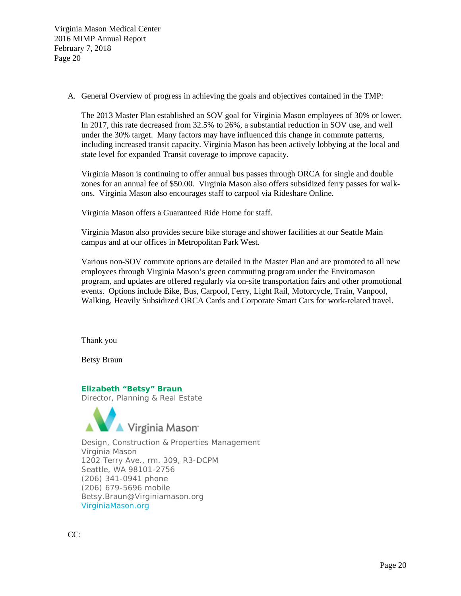A. General Overview of progress in achieving the goals and objectives contained in the TMP:

The 2013 Master Plan established an SOV goal for Virginia Mason employees of 30% or lower. In 2017, this rate decreased from 32.5% to 26%, a substantial reduction in SOV use, and well under the 30% target. Many factors may have influenced this change in commute patterns, including increased transit capacity. Virginia Mason has been actively lobbying at the local and state level for expanded Transit coverage to improve capacity.

Virginia Mason is continuing to offer annual bus passes through ORCA for single and double zones for an annual fee of \$50.00. Virginia Mason also offers subsidized ferry passes for walkons. Virginia Mason also encourages staff to carpool via Rideshare Online.

Virginia Mason offers a Guaranteed Ride Home for staff.

Virginia Mason also provides secure bike storage and shower facilities at our Seattle Main campus and at our offices in Metropolitan Park West.

Various non-SOV commute options are detailed in the Master Plan and are promoted to all new employees through Virginia Mason's green commuting program under the Enviromason program, and updates are offered regularly via on-site transportation fairs and other promotional events. Options include Bike, Bus, Carpool, Ferry, Light Rail, Motorcycle, Train, Vanpool, Walking, Heavily Subsidized ORCA Cards and Corporate Smart Cars for work-related travel.

Thank you

Betsy Braun

### **Elizabeth "Betsy" Braun**

Director, Planning & Real Estate



Design, Construction & Properties Management Virginia Mason 1202 Terry Ave., rm. 309, R3-DCPM Seattle, WA 98101-2756 (206) 341-0941 phone (206) 679-5696 mobile Betsy.Braun@Virginiamason.org VirginiaMason.org